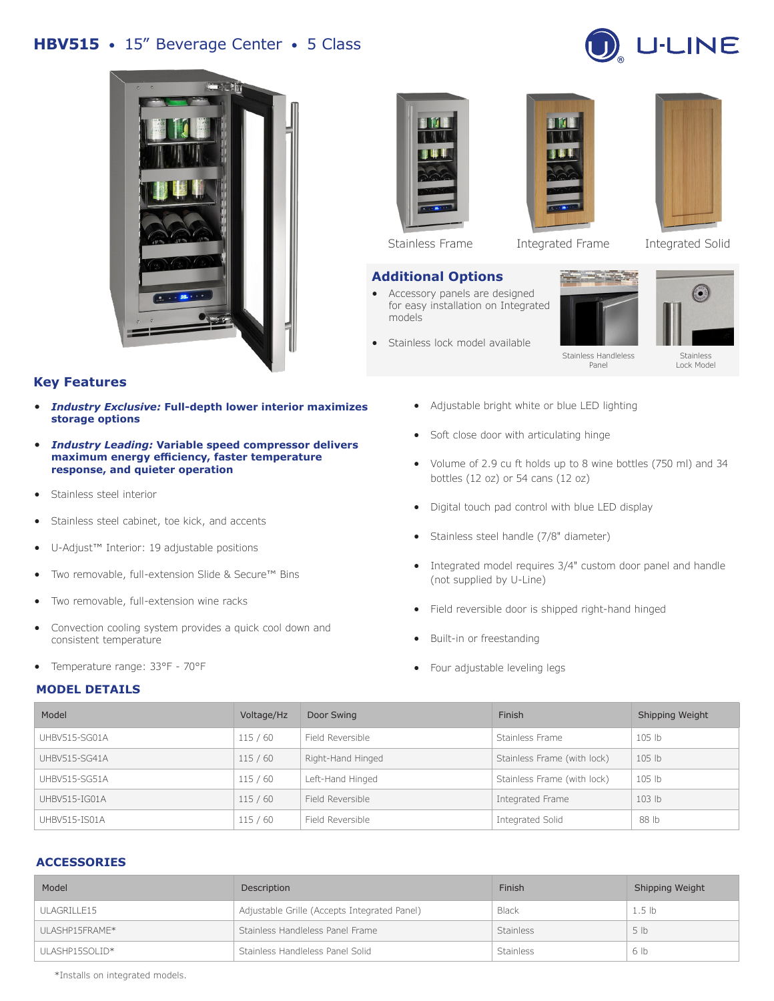# **HBV515** • 15" Beverage Center • 5 Class





## **Key Features**

- *Industry Exclusive:* **Full-depth lower interior maximizes storage options**
- *Industry Leading:* **Variable speed compressor delivers maximum energy efficiency, faster temperature response, and quieter operation**
- Stainless steel interior
- Stainless steel cabinet, toe kick, and accents
- U-Adjust™ Interior: 19 adjustable positions
- Two removable, full-extension Slide & Secure™ Bins
- Two removable, full-extension wine racks
- Convection cooling system provides a quick cool down and consistent temperature
- Temperature range: 33°F 70°F

#### **MODEL DETAILS**



#### **Additional Options**

- Accessory panels are designed for easy installation on Integrated models
- Stainless lock model available





Stainless Frame Integrated Frame Integrated Solid



Stainless Handleless Panel

Stainless Lock Model

• Adjustable bright white or blue LED lighting

- Soft close door with articulating hinge
- Volume of 2.9 cu ft holds up to 8 wine bottles (750 ml) and 34 bottles (12 oz) or 54 cans (12 oz)
- Digital touch pad control with blue LED display
- Stainless steel handle (7/8" diameter)
- Integrated model requires 3/4" custom door panel and handle (not supplied by U-Line)
- Field reversible door is shipped right-hand hinged
- Built-in or freestanding
- Four adjustable leveling legs

| Model         | Voltage/Hz | Door Swing        | Finish                      | Shipping Weight   |
|---------------|------------|-------------------|-----------------------------|-------------------|
| UHBV515-SG01A | 115/60     | Field Reversible  | Stainless Frame             | 105 lb            |
| UHBV515-SG41A | 115/60     | Right-Hand Hinged | Stainless Frame (with lock) | 105 lb            |
| UHBV515-SG51A | 115/60     | Left-Hand Hinged  | Stainless Frame (with lock) | 105 <sub>1b</sub> |
| UHBV515-IG01A | 115/60     | Field Reversible  | Integrated Frame            | 103 <sub>lb</sub> |
| UHBV515-IS01A | 115/60     | Field Reversible  | Integrated Solid            | 88 lb             |

### **ACCESSORIES**

| Model           | Description                                  | Finish           | Shipping Weight   |
|-----------------|----------------------------------------------|------------------|-------------------|
| ULAGRILLE15     | Adjustable Grille (Accepts Integrated Panel) | Black            | 1.5 <sub>lb</sub> |
| UI ASHP15FRAME* | Stainless Handleless Panel Frame             | <b>Stainless</b> | 5 <sub>1b</sub>   |
| ULASHP15SOLID*  | Stainless Handleless Panel Solid             | <b>Stainless</b> | 6 lb              |

\*Installs on integrated models.